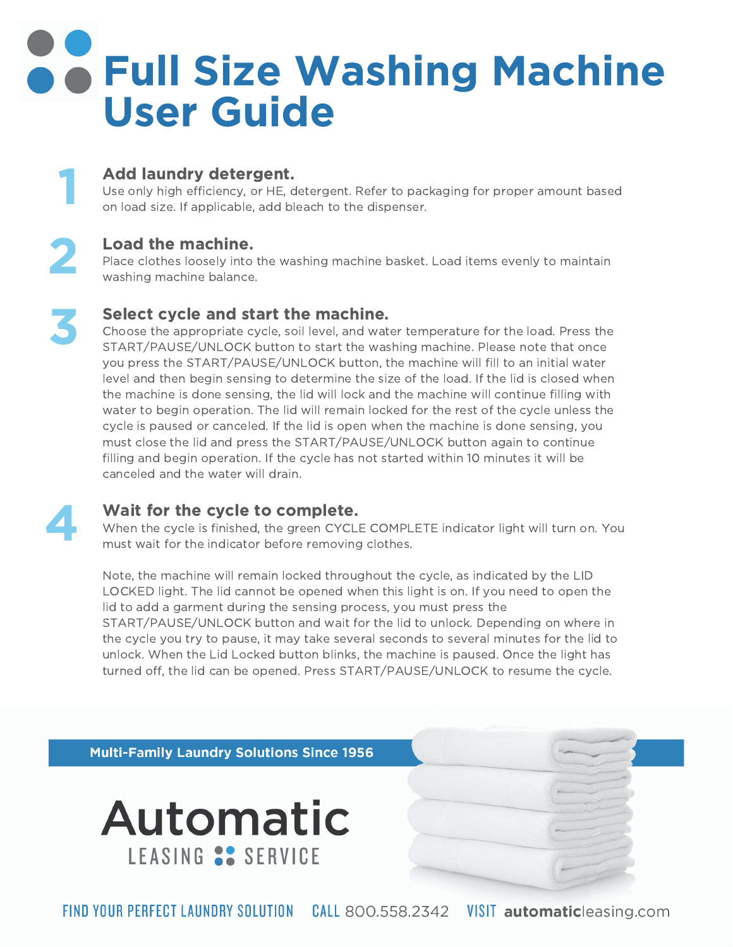### **S & Full Size Washing Machine** User Guide

#### Add laundry detergent.

Use only high efficiency, or HE, detergent. Refer to packaging for proper amount based on load size. If applicable, add bleach to the dispenser.

#### Load the machine.

Place clothes loosely into the washing machine basket. Load items evenly to maintain washing machine balance.

#### Select cycle and start the machine.

Choose the appropriate cycle, soil level, and water temperature for the load. Press the START/PAUSE/UNLOCK button to start the washing machine. Please note that once you press the START/PAUSE/UNLOCK button, the machine will fill to an initial water level and then begin sensing to determine the size of the load. If the lid is closed when the machine is done sensing, the lid will lock and the machine will continue filling with water to begin operation. The lid will remain locked for the rest of the cycle unless the cycle is paused or canceled. If the lid is open when the machine is done sensing, you must close the lid and press the START/PAUSE/UNLOCK button again to continue filling and begin operation. If the cycle has not started within 10 minutes it will be canceled and the water will drain.



1

3

2

#### Wait for the cycle to complete.

When the cycle is finished, the green CYCLE COMPLETE indicator light will turn on. You must wait for the indicator before removing clothes.

Note, the machine will remain locked throughout the cycle, as indicated by the LID LOCKED light. The lid cannot be opened when this light is on. If you need to open the lid to add a garment during the sensing process, you must press the START/PAUSE/UNLOCK button and wait for the lid to unlock. Depending on where in the cycle you try to pause, it may take several seconds to several minutes for the lid to unlock. When the Lid Locked button blinks, the machine is paused. Once the light has turned off, the lid can be opened. Press START/PAUSE/UNLOCK to resume the cycle.

**Multi-Family Laundry Solutions Since 1956**